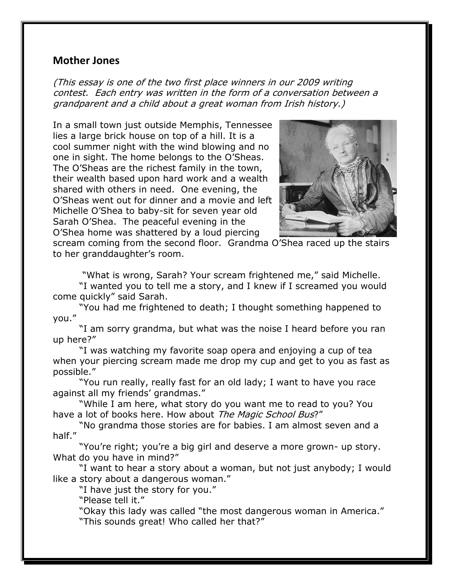## **Mother Jones**

(This essay is one of the two first place winners in our 2009 writing contest. Each entry was written in the form of a conversation between a grandparent and a child about a great woman from Irish history.)

In a small town just outside Memphis, Tennessee lies a large brick house on top of a hill. It is a cool summer night with the wind blowing and no one in sight. The home belongs to the O'Sheas. The O'Sheas are the richest family in the town, their wealth based upon hard work and a wealth shared with others in need. One evening, the O'Sheas went out for dinner and a movie and left Michelle O'Shea to baby-sit for seven year old Sarah O'Shea. The peaceful evening in the O'Shea home was shattered by a loud piercing



scream coming from the second floor. Grandma O'Shea raced up the stairs to her granddaughter's room.

"What is wrong, Sarah? Your scream frightened me," said Michelle.

"I wanted you to tell me a story, and I knew if I screamed you would come quickly" said Sarah.

"You had me frightened to death; I thought something happened to you."

"I am sorry grandma, but what was the noise I heard before you ran up here?"

"I was watching my favorite soap opera and enjoying a cup of tea when your piercing scream made me drop my cup and get to you as fast as possible."

"You run really, really fast for an old lady; I want to have you race against all my friends' grandmas."

"While I am here, what story do you want me to read to you? You have a lot of books here. How about The Magic School Bus?"

"No grandma those stories are for babies. I am almost seven and a half."

"You're right; you're a big girl and deserve a more grown- up story. What do you have in mind?"

"I want to hear a story about a woman, but not just anybody; I would like a story about a dangerous woman."

"I have just the story for you."

"Please tell it."

"Okay this lady was called "the most dangerous woman in America." "This sounds great! Who called her that?"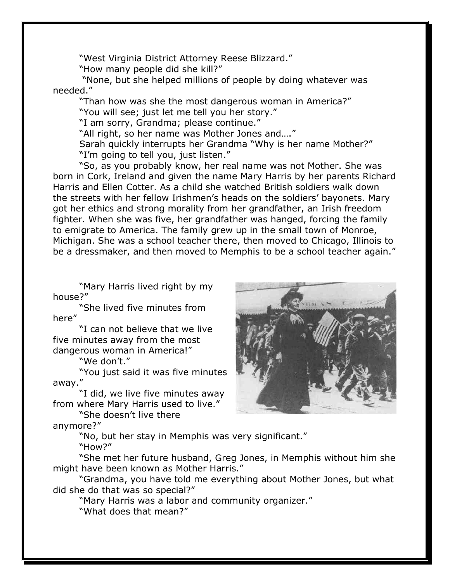"West Virginia District Attorney Reese Blizzard."

"How many people did she kill?"

"None, but she helped millions of people by doing whatever was needed."

"Than how was she the most dangerous woman in America?" "You will see; just let me tell you her story."

"I am sorry, Grandma; please continue."

"All right, so her name was Mother Jones and…."

Sarah quickly interrupts her Grandma "Why is her name Mother?" "I'm going to tell you, just listen."

"So, as you probably know, her real name was not Mother. She was born in Cork, Ireland and given the name Mary Harris by her parents Richard Harris and Ellen Cotter. As a child she watched British soldiers walk down the streets with her fellow Irishmen's heads on the soldiers' bayonets. Mary got her ethics and strong morality from her grandfather, an Irish freedom fighter. When she was five, her grandfather was hanged, forcing the family to emigrate to America. The family grew up in the small town of Monroe, Michigan. She was a school teacher there, then moved to Chicago, Illinois to be a dressmaker, and then moved to Memphis to be a school teacher again."

"Mary Harris lived right by my house?"

"She lived five minutes from here"

"I can not believe that we live five minutes away from the most dangerous woman in America!"

"We don't."

"You just said it was five minutes away."

"I did, we live five minutes away from where Mary Harris used to live."

"She doesn't live there

anymore?"

"No, but her stay in Memphis was very significant."

"How?"

"She met her future husband, Greg Jones, in Memphis without him she might have been known as Mother Harris."

"Grandma, you have told me everything about Mother Jones, but what did she do that was so special?"

"Mary Harris was a labor and community organizer." "What does that mean?"

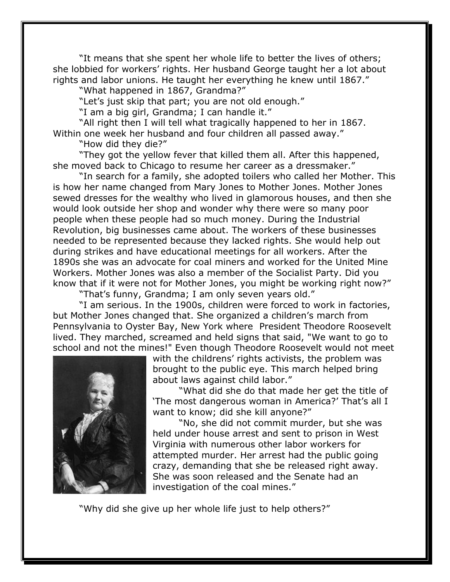"It means that she spent her whole life to better the lives of others; she lobbied for workers' rights. Her husband George taught her a lot about rights and labor unions. He taught her everything he knew until 1867."

"What happened in 1867, Grandma?"

"Let's just skip that part; you are not old enough."

"I am a big girl, Grandma; I can handle it."

"All right then I will tell what tragically happened to her in 1867. Within one week her husband and four children all passed away."

"How did they die?"

"They got the yellow fever that killed them all. After this happened, she moved back to Chicago to resume her career as a dressmaker."

"In search for a family, she adopted toilers who called her Mother. This is how her name changed from Mary Jones to Mother Jones. Mother Jones sewed dresses for the wealthy who lived in glamorous houses, and then she would look outside her shop and wonder why there were so many poor people when these people had so much money. During the Industrial Revolution, big businesses came about. The workers of these businesses needed to be represented because they lacked rights. She would help out during strikes and have educational meetings for all workers. After the 1890s she was an advocate for coal miners and worked for the United Mine Workers. Mother Jones was also a member of the Socialist Party. Did you know that if it were not for Mother Jones, you might be working right now?"

"That's funny, Grandma; I am only seven years old."

"I am serious. In the 1900s, children were forced to work in factories, but Mother Jones changed that. She organized a children's march from Pennsylvania to Oyster Bay, New York where President Theodore Roosevelt lived. They marched, screamed and held signs that said, "We want to go to school and not the mines!" Even though Theodore Roosevelt would not meet



with the childrens' rights activists, the problem was brought to the public eye. This march helped bring about laws against child labor."

"What did she do that made her get the title of 'The most dangerous woman in America?' That's all I want to know; did she kill anyone?"

"No, she did not commit murder, but she was held under house arrest and sent to prison in West Virginia with numerous other labor workers for attempted murder. Her arrest had the public going crazy, demanding that she be released right away. She was soon released and the Senate had an investigation of the coal mines."

"Why did she give up her whole life just to help others?"